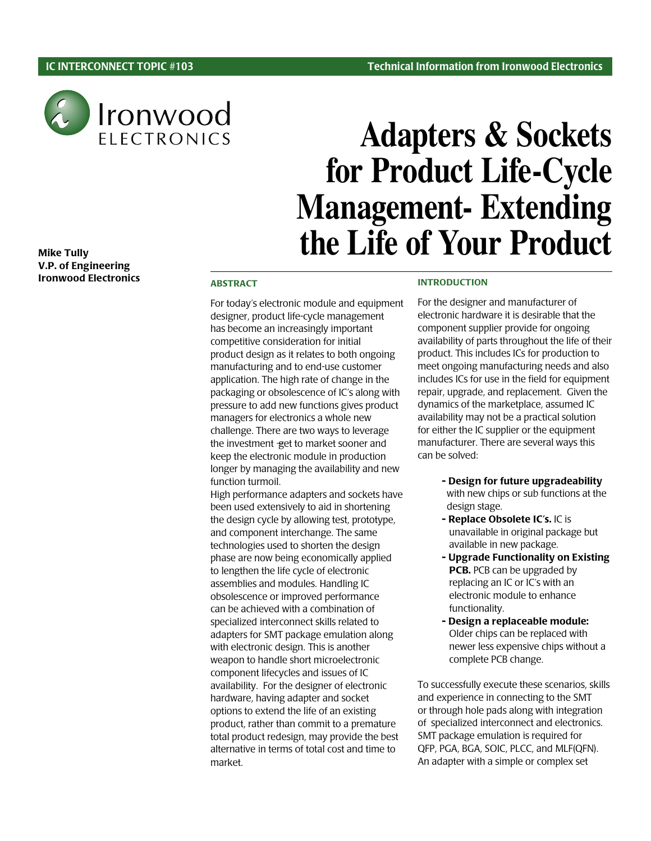

## Mike Tully V.P. of Engineering Ironwood Electronics

# **Adapters & Sockets for Product Life-Cycle Management- Extending the Life of Your Product**

### ABSTRACT

For today's electronic module and equipment designer, product life-cycle management has become an increasingly important competitive consideration for initial product design as it relates to both ongoing manufacturing and to end-use customer application. The high rate of change in the packaging or obsolescence of IC's along with pressure to add new functions gives product managers for electronics a whole new challenge. There are two ways to leverage the investment - get to market sooner and keep the electronic module in production longer by managing the availability and new function turmoil.

High performance adapters and sockets have been used extensively to aid in shortening the design cycle by allowing test, prototype, and component interchange. The same technologies used to shorten the design phase are now being economically applied to lengthen the life cycle of electronic assemblies and modules. Handling IC obsolescence or improved performance can be achieved with a combination of specialized interconnect skills related to adapters for SMT package emulation along with electronic design. This is another weapon to handle short microelectronic component lifecycles and issues of IC availability. For the designer of electronic hardware, having adapter and socket options to extend the life of an existing product, rather than commit to a premature total product redesign, may provide the best alternative in terms of total cost and time to market.

#### INTRODUCTION

For the designer and manufacturer of electronic hardware it is desirable that the component supplier provide for ongoing availability of parts throughout the life of their product. This includes ICs for production to meet ongoing manufacturing needs and also includes ICs for use in the field for equipment repair, upgrade, and replacement. Given the dynamics of the marketplace, assumed IC availability may not be a practical solution for either the IC supplier or the equipment manufacturer. There are several ways this can be solved:

- Design for future upgradeability with new chips or sub functions at the design stage.
- Replace Obsolete IC's. IC is unavailable in original package but available in new package.
- Upgrade Functionality on Existing PCB. PCB can be upgraded by replacing an IC or IC's with an electronic module to enhance functionality.
- Design a replaceable module: Older chips can be replaced with newer less expensive chips without a complete PCB change.

To successfully execute these scenarios, skills and experience in connecting to the SMT or through hole pads along with integration of specialized interconnect and electronics. SMT package emulation is required for QFP, PGA, BGA, SOIC, PLCC, and MLF(QFN). An adapter with a simple or complex set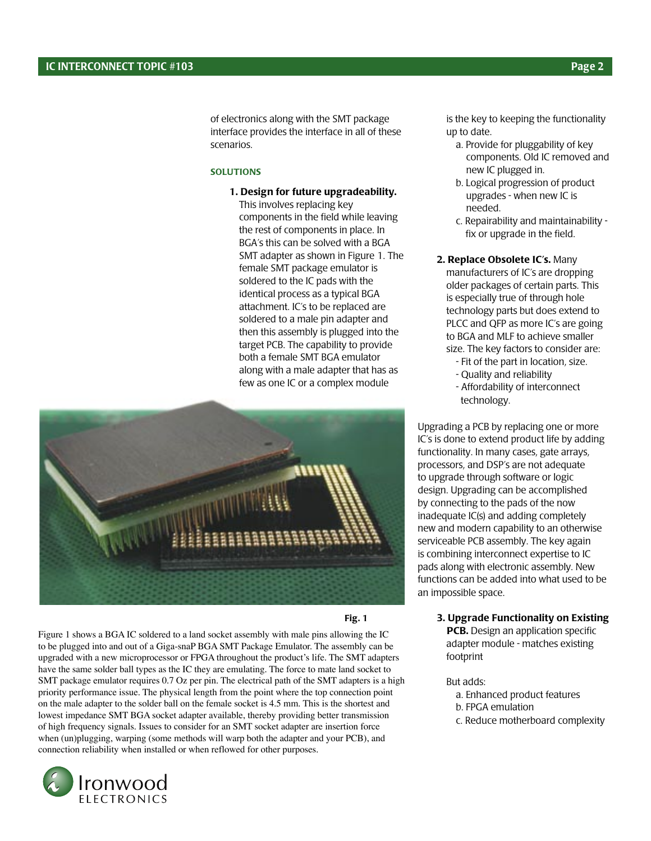of electronics along with the SMT package interface provides the interface in all of these scenarios.

#### **SOLUTIONS**

1. Design for future upgradeability. This involves replacing key components in the field while leaving the rest of components in place. In BGA's this can be solved with a BGA SMT adapter as shown in Figure 1. The female SMT package emulator is soldered to the IC pads with the identical process as a typical BGA attachment. IC's to be replaced are soldered to a male pin adapter and then this assembly is plugged into the target PCB. The capability to provide both a female SMT BGA emulator along with a male adapter that has as few as one IC or a complex module



Fig. 1

Figure 1 shows a BGA IC soldered to a land socket assembly with male pins allowing the IC to be plugged into and out of a Giga-snaP BGA SMT Package Emulator. The assembly can be upgraded with a new microprocessor or FPGA throughout the product's life. The SMT adapters have the same solder ball types as the IC they are emulating. The force to mate land socket to SMT package emulator requires 0.7 Oz per pin. The electrical path of the SMT adapters is a high priority performance issue. The physical length from the point where the top connection point on the male adapter to the solder ball on the female socket is 4.5 mm. This is the shortest and lowest impedance SMT BGA socket adapter available, thereby providing better transmission of high frequency signals. Issues to consider for an SMT socket adapter are insertion force when (un)plugging, warping (some methods will warp both the adapter and your PCB), and connection reliability when installed or when reflowed for other purposes.



is the key to keeping the functionality up to date.

- a. Provide for pluggability of key components. Old IC removed and new IC plugged in.
- b. Logical progression of product upgrades - when new IC is needed.
- c. Repairability and maintainability fix or upgrade in the field.
- 2. Replace Obsolete IC's. Many manufacturers of IC's are dropping older packages of certain parts. This is especially true of through hole technology parts but does extend to PLCC and QFP as more IC's are going to BGA and MLF to achieve smaller size. The key factors to consider are:
	- Fit of the part in location, size.
	- Quality and reliability
	- Affordability of interconnect technology.

Upgrading a PCB by replacing one or more IC's is done to extend product life by adding functionality. In many cases, gate arrays, processors, and DSP's are not adequate to upgrade through software or logic design. Upgrading can be accomplished by connecting to the pads of the now inadequate IC(s) and adding completely new and modern capability to an otherwise serviceable PCB assembly. The key again is combining interconnect expertise to IC pads along with electronic assembly. New functions can be added into what used to be an impossible space.

3. Upgrade Functionality on Existing PCB. Design an application specific

adapter module - matches existing footprint

## But adds:

- a. Enhanced product features
- b. FPGA emulation
- c. Reduce motherboard complexity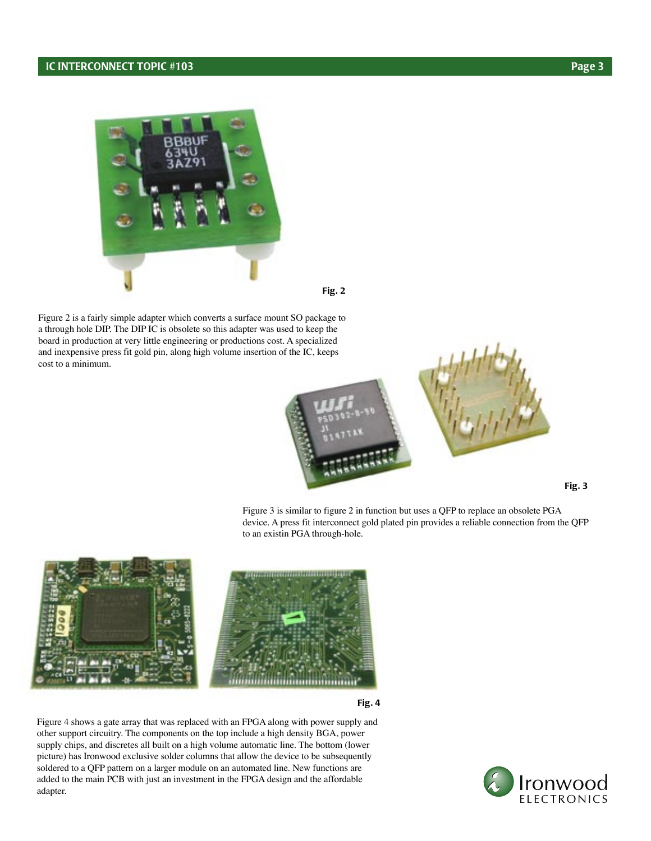

Fig. 2

Figure 2 is a fairly simple adapter which converts a surface mount SO package to a through hole DIP. The DIP IC is obsolete so this adapter was used to keep the board in production at very little engineering or productions cost. A specialized and inexpensive press fit gold pin, along high volume insertion of the IC, keeps cost to a minimum.



Fig. 3

Figure 3 is similar to figure 2 in function but uses a QFP to replace an obsolete PGA device. A press fit interconnect gold plated pin provides a reliable connection from the QFP to an existin PGA through-hole.



Fig. 4

Figure 4 shows a gate array that was replaced with an FPGA along with power supply and other support circuitry. The components on the top include a high density BGA, power supply chips, and discretes all built on a high volume automatic line. The bottom (lower picture) has Ironwood exclusive solder columns that allow the device to be subsequently soldered to a QFP pattern on a larger module on an automated line. New functions are added to the main PCB with just an investment in the FPGA design and the affordable adapter.

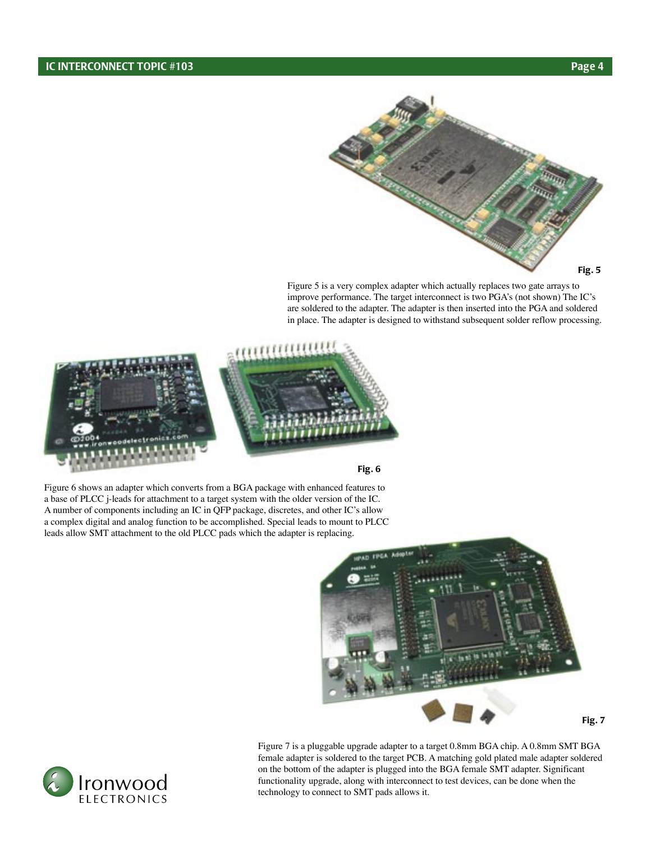

Figure 5 is a very complex adapter which actually replaces two gate arrays to improve performance. The target interconnect is two PGA's (not shown) The IC's are soldered to the adapter. The adapter is then inserted into the PGA and soldered in place. The adapter is designed to withstand subsequent solder reflow processing.





Figure 6 shows an adapter which converts from a BGA package with enhanced features to a base of PLCC j-leads for attachment to a target system with the older version of the IC. A number of components including an IC in QFP package, discretes, and other IC's allow a complex digital and analog function to be accomplished. Special leads to mount to PLCC leads allow SMT attachment to the old PLCC pads which the adapter is replacing.



Fig. 7

Figure 7 is a pluggable upgrade adapter to a target 0.8mm BGA chip. A 0.8mm SMT BGA female adapter is soldered to the target PCB. A matching gold plated male adapter soldered on the bottom of the adapter is plugged into the BGA female SMT adapter. Significant functionality upgrade, along with interconnect to test devices, can be done when the technology to connect to SMT pads allows it.